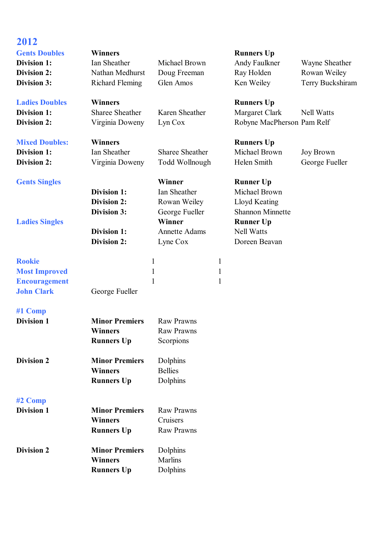| 2012<br><b>Gents Doubles</b><br><b>Division 1:</b><br><b>Division 2:</b><br><b>Division 3:</b> | <b>Winners</b><br>Ian Sheather<br>Nathan Medhurst<br><b>Richard Fleming</b> | Michael Brown<br>Doug Freeman<br>Glen Amos                   |                                   | <b>Runners Up</b><br>Andy Faulkner<br>Ray Holden<br>Ken Weiley                    | Wayne Sheather<br>Rowan Weiley<br>Terry Buckshiram |
|------------------------------------------------------------------------------------------------|-----------------------------------------------------------------------------|--------------------------------------------------------------|-----------------------------------|-----------------------------------------------------------------------------------|----------------------------------------------------|
| <b>Ladies Doubles</b><br>Division 1:<br><b>Division 2:</b>                                     | <b>Winners</b><br><b>Sharee Sheather</b><br>Virginia Doweny                 | Karen Sheather<br>Lyn Cox                                    |                                   | <b>Runners Up</b><br>Margaret Clark<br>Robyne MacPherson Pam Relf                 | <b>Nell Watts</b>                                  |
| <b>Mixed Doubles:</b><br><b>Division 1:</b><br><b>Division 2:</b>                              | <b>Winners</b><br>Ian Sheather<br>Virginia Doweny                           | Sharee Sheather<br>Todd Wollnough                            |                                   | <b>Runners Up</b><br>Michael Brown<br>Helen Smith                                 | <b>Joy Brown</b><br>George Fueller                 |
| <b>Gents Singles</b>                                                                           | <b>Division 1:</b><br><b>Division 2:</b>                                    | Winner<br>Ian Sheather<br>Rowan Weiley                       |                                   | <b>Runner Up</b><br>Michael Brown<br>Lloyd Keating                                |                                                    |
| <b>Ladies Singles</b>                                                                          | Division 3:<br>Division 1:<br><b>Division 2:</b>                            | George Fueller<br>Winner<br><b>Annette Adams</b><br>Lyne Cox |                                   | <b>Shannon Minnette</b><br><b>Runner Up</b><br><b>Nell Watts</b><br>Doreen Beavan |                                                    |
| <b>Rookie</b><br><b>Most Improved</b><br><b>Encouragement</b><br><b>John Clark</b>             | $\mathbf{1}$<br>$\mathbf{1}$<br>$\mathbf{1}$<br>George Fueller              |                                                              | $\mathbf{1}$<br>$\mathbf{1}$<br>1 |                                                                                   |                                                    |
| #1 Comp<br><b>Division 1</b>                                                                   | <b>Minor Premiers</b><br><b>Winners</b><br><b>Runners Up</b>                | <b>Raw Prawns</b><br><b>Raw Prawns</b><br>Scorpions          |                                   |                                                                                   |                                                    |
| <b>Division 2</b>                                                                              | <b>Minor Premiers</b><br><b>Winners</b><br><b>Runners Up</b>                | Dolphins<br><b>Bellies</b><br>Dolphins                       |                                   |                                                                                   |                                                    |
| $#2$ Comp<br><b>Division 1</b>                                                                 | <b>Minor Premiers</b><br><b>Winners</b><br><b>Runners Up</b>                | <b>Raw Prawns</b><br>Cruisers<br><b>Raw Prawns</b>           |                                   |                                                                                   |                                                    |
| <b>Division 2</b>                                                                              | <b>Minor Premiers</b><br><b>Winners</b><br><b>Runners Up</b>                | Dolphins<br>Marlins<br>Dolphins                              |                                   |                                                                                   |                                                    |